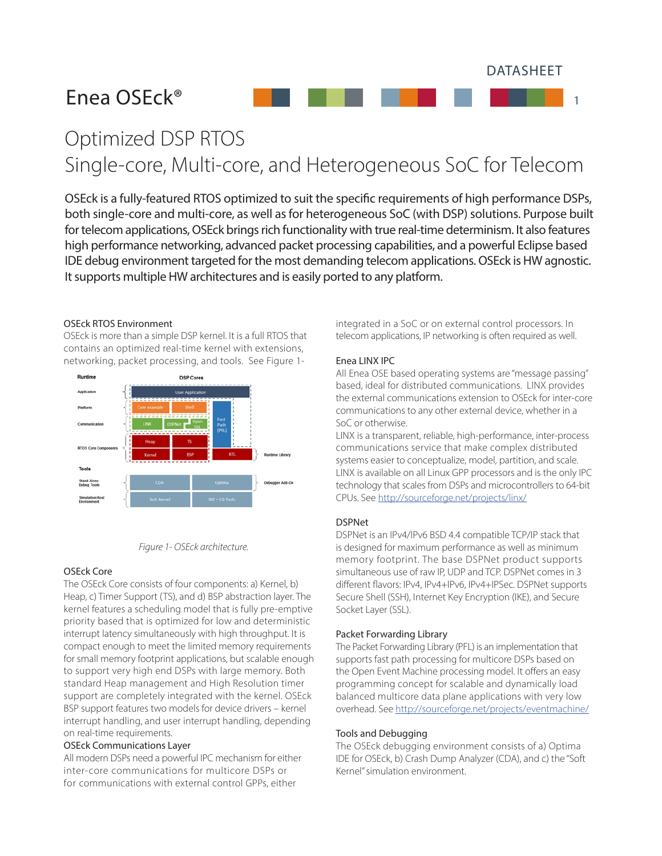DATASHEET

1

# Enea OSEck®

Optimized DSP RTOS Single-core, Multi-core, and Heterogeneous SoC for Telecom

OSEck is a fully-featured RTOS optimized to suit the specific requirements of high performance DSPs, both single-core and multi-core, as well as for heterogeneous SoC (with DSP) solutions. Purpose built for telecom applications, OSEck brings rich functionality with true real-time determinism. It also features high performance networking, advanced packet processing capabilities, and a powerful Eclipse based IDE debug environment targeted for the most demanding telecom applications. OSEck is HW agnostic. It supports multiple HW architectures and is easily ported to any platform.

# OSEck RTOS Environment

OSEck is more than a simple DSP kernel. It is a full RTOS that contains an optimized real-time kernel with extensions, networking, packet processing, and tools. See Figure 1-





# OSEck Core

The OSEck Core consists of four components: a) Kernel, b) Heap, c) Timer Support (TS), and d) BSP abstraction layer. The kernel features a scheduling model that is fully pre-emptive priority based that is optimized for low and deterministic interrupt latency simultaneously with high throughput. It is compact enough to meet the limited memory requirements for small memory footprint applications, but scalable enough to support very high end DSPs with large memory. Both standard Heap management and High Resolution timer support are completely integrated with the kernel. OSEck BSP support features two models for device drivers – kernel interrupt handling, and user interrupt handling, depending on real-time requirements.

# OSEck Communications Layer

All modern DSPs need a powerful IPC mechanism for either inter-core communications for multicore DSPs or for communications with external control GPPs, either

integrated in a SoC or on external control processors. In telecom applications, IP networking is often required as well.

## Enea LINX IPC

All Enea OSE based operating systems are "message passing" based, ideal for distributed communications. LINX provides the external communications extension to OSEck for inter-core communications to any other external device, whether in a SoC or otherwise.

LINX is a transparent, reliable, high-performance, inter-process communications service that make complex distributed systems easier to conceptualize, model, partition, and scale. LINX is available on all Linux GPP processors and is the only IPC technology that scales from DSPs and microcontrollers to 64-bit CPUs. See http://sourceforge.net/projects/linx/

### DSPNet

DSPNet is an IPv4/IPv6 BSD 4.4 compatible TCP/IP stack that is designed for maximum performance as well as minimum memory footprint. The base DSPNet product supports simultaneous use of raw IP, UDP and TCP. DSPNet comes in 3 different flavors: IPv4, IPv4+IPv6, IPv4+IPSec. DSPNet supports Secure Shell (SSH), Internet Key Encryption (IKE), and Secure Socket Layer (SSL).

## Packet Forwarding Library

The Packet Forwarding Library (PFL) is an implementation that supports fast path processing for multicore DSPs based on the Open Event Machine processing model. It offers an easy programming concept for scalable and dynamically load balanced multicore data plane applications with very low overhead. See http://sourceforge.net/projects/eventmachine/

## Tools and Debugging

The OSEck debugging environment consists of a) Optima IDE for OSEck, b) Crash Dump Analyzer (CDA), and c) the "Soft Kernel" simulation environment.